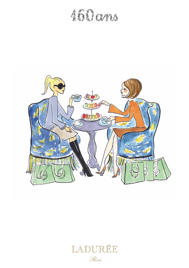# ANDONA



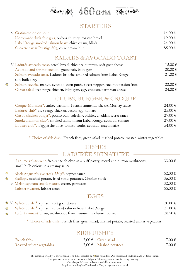

#### *STARTERS*

| V Gratinated onion soup                                | 14.00€      |
|--------------------------------------------------------|-------------|
| Homemade duck foie gras, onions chutney, toasted bread | 19.00€      |
| Label Rouge smoked salmon heart, chive cream, blinis   | $24.00 \in$ |
| Osciètre caviar Prestige 30g, chive cream, blini       | $85.00 \in$ |

#### *SALADS & AVOCADO TOAST*

| V Ladurée avocado toast, cereal bread, chickpea hummus, soft goat cheese        | $15,00 \in$ |
|---------------------------------------------------------------------------------|-------------|
| Avocado and shrimp cocktail, grapefruit, baby gem                               | $20,00 \in$ |
| Salmon avocado toast, Ladurée brioche, smoked salmon from Label Rouge,          | $21,00 \in$ |
| soft boiled egg                                                                 |             |
| Salmon ceviche, mango, avocado, corn purée, sweet pepper, coconut passion fruit | $22,00 \in$ |
| Caesar salad, free-range chicken, baby gem, egg, crouton, parmesan cheese       | $24,00 \in$ |
|                                                                                 |             |

 $\circledcirc$ 

### *CLUBS, BURGER & CROQUE*

| Croque-Monsieur*, turkey pastrami, French emmental cheese, Mornay sauce           | $24,00 \in$ |
|-----------------------------------------------------------------------------------|-------------|
| Ladurée club*, free-range chicken, bacon, egg, tomato                             | $25,00 \in$ |
| Crispy chicken burger*, potato bun, coleslaw, pickles, cheddar, secret sauce      | $27,00 \in$ |
| Smoked salmon club <sup>*</sup> , smoked salmon from Label Rouge, avocado, tomato | $27,00 \in$ |
| Lobster club*, Taggiasche olive, tomato confit, avocado, mayonnaise               | 54,00 €     |

\* Choice of side dish : French fries, green salad, mashed potato, roasted winter vegetables

## *DISHES LADURÉE SIGNATURE*

|   | Ladurée vol-au-vent, free-range chicken in a puff pastry, morel and button mushrooms,<br>small bulb onions in a creamy sauce | 33,00 € |
|---|------------------------------------------------------------------------------------------------------------------------------|---------|
| ▧ | Black Angus rib-eye steak 250g*, pepper sauce                                                                                | 52,00 € |
| ▧ | Scallops, mashed potato, fried straw potatoes, Chicken stock                                                                 | 36,00 € |
|   | V Melanosporum truffle risotto, cream, parmesan                                                                              | 32,00 € |
|   | Lobster rigatoni, lobster sauce                                                                                              | 55,00 € |
|   |                                                                                                                              |         |

#### *EGGS*

|                | $\bullet\,\,V\,$ White omelet $^*$ , spinach, soft goat cheese                | 20.00 €     |
|----------------|-------------------------------------------------------------------------------|-------------|
| $\mathbb{S}$ . | White omelet <sup>*</sup> , spinach, smoked salmon from Label Rouge           | $25.00 \in$ |
|                | $\bullet$ Ladurée omelet $^*$ , ham, mushroom, french emmental cheese, tomato | $28.50 \in$ |

\* Choice of side dish : French fries, green salad, mashed potato, roasted winter vegetables

#### *SIDE DISHES*

| <b>French</b> fries       | 7.00 € Green salad     | 7.00€ |
|---------------------------|------------------------|-------|
| Roasted winter vegetables | 7,00 € Mashed potatoes | 7.00€ |

The dishes reported by  $V$  are vegetarian. The dishes reported by  $\bigotimes$  are gluten free. Our bovines and poultries meats are from France.

Our porcines meats are from France and Belgium. All our eggs come from free-range farming.

Our allergen information book is available upon request.

Net prices, including VAT and service. Cheque payment not accepted.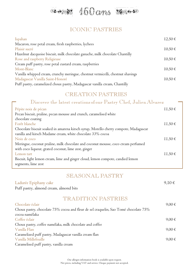

#### *ICONIC PASTRIES*

| Ispahan                                                                         | 12.50€      |
|---------------------------------------------------------------------------------|-------------|
| Macaron, rose petal cream, fresh raspberries, lychees                           |             |
| Plaisir sucré                                                                   | $10,50 \in$ |
| Hazelnut dacquoise biscuit, milk chocolate ganache, milk chocolate Chantilly    |             |
| Rose and raspberry Religieuse                                                   | $10,50 \in$ |
| Cream puff pastry, rose petal custard cream, raspberries                        |             |
| Mont-Blanc                                                                      | $10,50 \in$ |
| Vanilla whipped cream, crunchy meringue, chestnut vermicelli, chestnut shavings |             |
| Madagascar Vanilla Saint-Honoré                                                 | $10,50 \in$ |
| Puff pastry, caramelized choux pastry, Madagascar vanilla cream, Chantilly      |             |

#### *CREATION PASTRIES*

#### *Discover the latest creations of our Pastry Chef, Julien Alvarez*

| Pépite noix de pécan                                                                 | $11,50 \in$ |
|--------------------------------------------------------------------------------------|-------------|
| Pecan biscuit, praline, pecan mousse and crunch, caramelised white                   |             |
| chocolate coating                                                                    |             |
| Forêt blanche                                                                        | 11,50€      |
| Chocolate biscuit soaked in amarena kirsch syrup, Morello cherry compote, Madagascar |             |
| vanilla and kirsch Madame cream, white chocolate 33% cocoa                           |             |
| Noix de coco                                                                         | 11,50€      |
| Meringue, coconut praline, milk chocolate and coconut mousse, coco cream perfumed    |             |
| with coco liqueur, grated coconut, lime zest, ginger                                 |             |
| Lemon tart                                                                           | $11,50 \in$ |
| Biscuit, light lemon cream, lime and ginger cloud, lemon compote, candied lemon      |             |
| segments, lime zest                                                                  |             |

### *SEASONAL PASTRY*

| Ladurée Epiphany cake                                                                | $9.10 \in$ |
|--------------------------------------------------------------------------------------|------------|
| Puff pastry, almond cream, almond bits                                               |            |
| <b>TRADITION PASTRIES</b>                                                            |            |
| Chocolate éclair                                                                     | 9,00€      |
| Choux pastry, chocolate 75% cocoa and fleur de sel craquelin, Sao Tomé chocolate 75% |            |
| cocoa namélaka                                                                       |            |
| Coffee éclair                                                                        | $9,00 \in$ |
| Choux pastry, coffee namélaka, milk chocolate and coffee                             |            |
| - Vanilla Flan                                                                       | 9,00€      |
| Caramelized puff pastry, Madagascar vanilla cream flan                               |            |
| Vanilla Millefeuille                                                                 | $9.00 \in$ |
| Caramelised puff pastry, vanilla cream                                               |            |